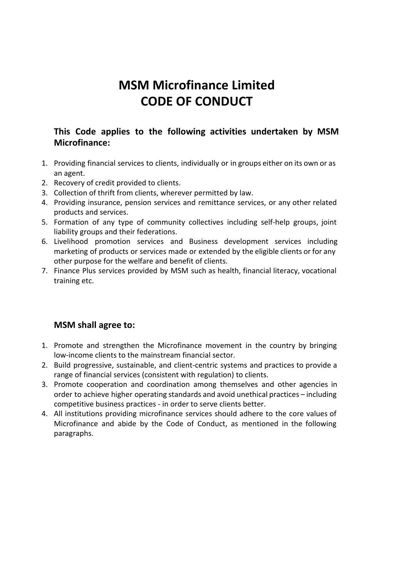# **MSM Microfinance Limited CODE OF CONDUCT**

# **This Code applies to the following activities undertaken by MSM Microfinance:**

- 1. Providing financial services to clients, individually or in groups either on its own or as an agent.
- 2. Recovery of credit provided to clients.
- 3. Collection of thrift from clients, wherever permitted by law.
- 4. Providing insurance, pension services and remittance services, or any other related products and services.
- 5. Formation of any type of community collectives including self-help groups, joint liability groups and their federations.
- 6. Livelihood promotion services and Business development services including marketing of products or services made or extended by the eligible clients or for any other purpose for the welfare and benefit of clients.
- 7. Finance Plus services provided by MSM such as health, financial literacy, vocational training etc.

# **MSM shall agree to:**

- 1. Promote and strengthen the Microfinance movement in the country by bringing low-income clients to the mainstream financial sector.
- 2. Build progressive, sustainable, and client-centric systems and practices to provide a range of financial services (consistent with regulation) to clients.
- 3. Promote cooperation and coordination among themselves and other agencies in order to achieve higher operating standards and avoid unethical practices – including competitive business practices - in order to serve clients better.
- 4. All institutions providing microfinance services should adhere to the core values of Microfinance and abide by the Code of Conduct, as mentioned in the following paragraphs.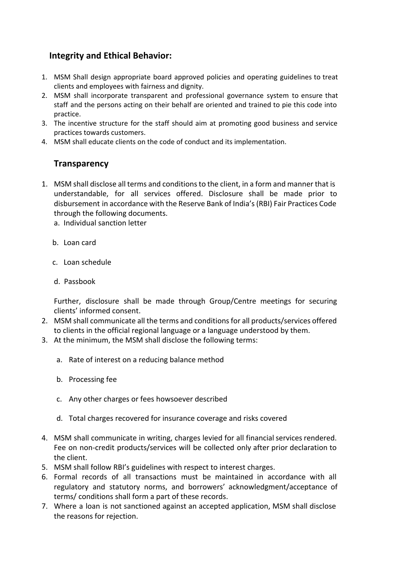# **Integrity and Ethical Behavior:**

- 1. MSM Shall design appropriate board approved policies and operating guidelines to treat clients and employees with fairness and dignity.
- 2. MSM shall incorporate transparent and professional governance system to ensure that staff and the persons acting on their behalf are oriented and trained to pie this code into practice.
- 3. The incentive structure for the staff should aim at promoting good business and service practices towards customers.
- 4. MSM shall educate clients on the code of conduct and its implementation.

#### **Transparency**

- 1. MSM shall disclose all terms and conditionsto the client, in a form and manner that is understandable, for all services offered. Disclosure shall be made prior to disbursement in accordance with the Reserve Bank of India's(RBI) Fair Practices Code through the following documents.
	- a. Individual sanction letter
	- b. Loan card
	- c. Loan schedule
	- d. Passbook

Further, disclosure shall be made through Group/Centre meetings for securing clients' informed consent.

- 2. MSM shall communicate all the terms and conditions for all products/services offered to clients in the official regional language or a language understood by them.
- 3. At the minimum, the MSM shall disclose the following terms:
	- a. Rate of interest on a reducing balance method
	- b. Processing fee
	- c. Any other charges or fees howsoever described
	- d. Total charges recovered for insurance coverage and risks covered
- 4. MSM shall communicate in writing, charges levied for all financial services rendered. Fee on non-credit products/services will be collected only after prior declaration to the client.
- 5. MSM shall follow RBI's guidelines with respect to interest charges.
- 6. Formal records of all transactions must be maintained in accordance with all regulatory and statutory norms, and borrowers' acknowledgment/acceptance of terms/ conditions shall form a part of these records.
- 7. Where a loan is not sanctioned against an accepted application, MSM shall disclose the reasons for rejection.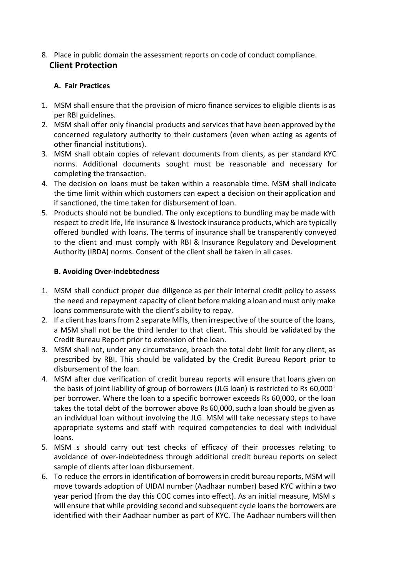8. Place in public domain the assessment reports on code of conduct compliance. **Client Protection**

#### **A. Fair Practices**

- 1. MSM shall ensure that the provision of micro finance services to eligible clients is as per RBI guidelines.
- 2. MSM shall offer only financial products and servicesthat have been approved by the concerned regulatory authority to their customers (even when acting as agents of other financial institutions).
- 3. MSM shall obtain copies of relevant documents from clients, as per standard KYC norms. Additional documents sought must be reasonable and necessary for completing the transaction.
- 4. The decision on loans must be taken within a reasonable time. MSM shall indicate the time limit within which customers can expect a decision on their application and if sanctioned, the time taken for disbursement of loan.
- 5. Products should not be bundled. The only exceptions to bundling may be made with respect to credit life, life insurance & livestock insurance products, which are typically offered bundled with loans. The terms of insurance shall be transparently conveyed to the client and must comply with RBI & Insurance Regulatory and Development Authority (IRDA) norms. Consent of the client shall be taken in all cases.

#### **B. Avoiding Overindebtedness**

- 1. MSM shall conduct proper due diligence as per their internal credit policy to assess the need and repayment capacity of client before making a loan and must only make loans commensurate with the client's ability to repay.
- 2. If a client hasloansfrom 2 separate MFIs, then irrespective of the source of the loans, a MSM shall not be the third lender to that client. This should be validated by the Credit Bureau Report prior to extension of the loan.
- 3. MSM shall not, under any circumstance, breach the total debt limit for any client, as prescribed by RBI. This should be validated by the Credit Bureau Report prior to disbursement of the loan.
- 4. MSM after due verification of credit bureau reports will ensure that loans given on the basis of joint liability of group of borrowers (JLG loan) is restricted to Rs 60,000<sup>1</sup> per borrower. Where the loan to a specific borrower exceeds Rs 60,000, or the loan takes the total debt of the borrower above Rs 60,000, such a loan should be given as an individual loan without involving the JLG. MSM will take necessary steps to have appropriate systems and staff with required competencies to deal with individual loans.
- 5. MSM s should carry out test checks of efficacy of their processes relating to avoidance of over-indebtedness through additional credit bureau reports on select sample of clients after loan disbursement.
- 6. To reduce the errorsin identification of borrowersin credit bureau reports, MSM will move towards adoption of UIDAI number (Aadhaar number) based KYC within a two year period (from the day this COC comes into effect). As an initial measure, MSM s will ensure that while providing second and subsequent cycle loans the borrowers are identified with their Aadhaar number as part of KYC. The Aadhaar numbers will then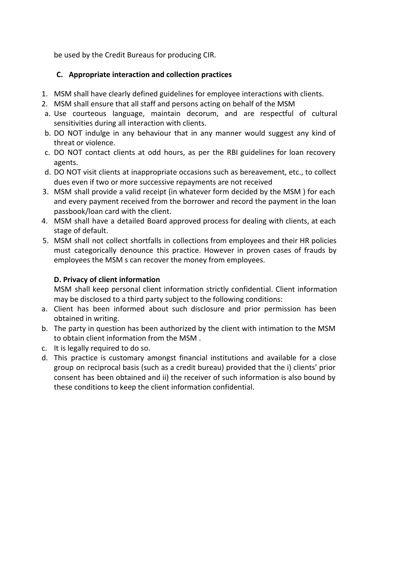be used by the Credit Bureaus for producing CIR.

#### **C. Appropriate interaction and collection practices**

- 1. MSM shall have clearly defined guidelines for employee interactions with clients.
- 2. MSM shall ensure that all staff and persons acting on behalf of the MSM
- a. Use courteous language, maintain decorum, and are respectful of cultural sensitivities during all interaction with clients.
- b. DO NOT indulge in any behaviour that in any manner would suggest any kind of threat or violence.
- c. DO NOT contact clients at odd hours, as per the RBI guidelines for loan recovery agents.
- d. DO NOT visit clients at inappropriate occasions such as bereavement, etc., to collect dues even if two or more successive repayments are not received
- 3. MSM shall provide a valid receipt (in whatever form decided by the MSM ) for each and every payment received from the borrower and record the payment in the loan passbook/loan card with the client.
- 4. MSM shall have a detailed Board approved process for dealing with clients, at each stage of default.
- 5. MSM shall not collect shortfalls in collections from employees and their HR policies must categorically denounce this practice. However in proven cases of frauds by employees the MSM s can recover the money from employees.

#### **D. Privacy of client information**

MSM shall keep personal client information strictly confidential. Client information may be disclosed to a third party subject to the following conditions:

- a. Client has been informed about such disclosure and prior permission has been obtained in writing.
- b. The party in question has been authorized by the client with intimation to the MSM to obtain client information from the MSM .
- c. It is legally required to do so.
- d. This practice is customary amongst financial institutions and available for a close group on reciprocal basis (such as a credit bureau) provided that the i) clients' prior consent has been obtained and ii) the receiver of such information is also bound by these conditions to keep the client information confidential.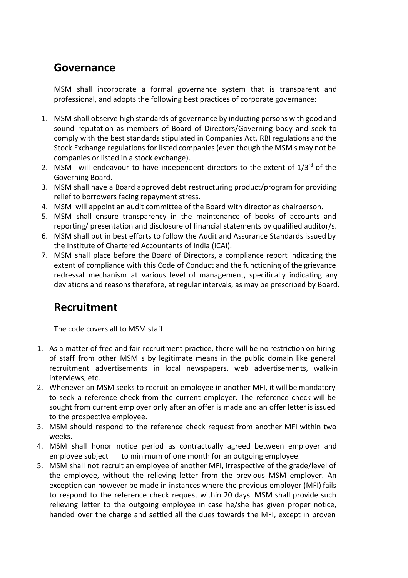# **Governance**

MSM shall incorporate a formal governance system that is transparent and professional, and adopts the following best practices of corporate governance:

- 1. MSM shall observe high standards of governance by inducting persons with good and sound reputation as members of Board of Directors/Governing body and seek to comply with the best standards stipulated in Companies Act, RBI regulations and the Stock Exchange regulations for listed companies(even though the MSM s may not be companies or listed in a stock exchange).
- 2. MSM will endeavour to have independent directors to the extent of  $1/3^{rd}$  of the Governing Board.
- 3. MSM shall have a Board approved debt restructuring product/program for providing relief to borrowers facing repayment stress.
- 4. MSM will appoint an audit committee of the Board with director as chairperson.
- 5. MSM shall ensure transparency in the maintenance of books of accounts and reporting/ presentation and disclosure of financial statements by qualified auditor/s.
- 6. MSM shall put in best efforts to follow the Audit and Assurance Standards issued by the Institute of Chartered Accountants of India (ICAI).
- 7. MSM shall place before the Board of Directors, a compliance report indicating the extent of compliance with this Code of Conduct and the functioning of the grievance redressal mechanism at various level of management, specifically indicating any deviations and reasons therefore, at regular intervals, as may be prescribed by Board.

# **Recruitment**

The code covers all to MSM staff.

- 1. As a matter of free and fair recruitment practice, there will be no restriction on hiring of staff from other MSM s by legitimate means in the public domain like general recruitment advertisements in local newspapers, web advertisements, walk-in interviews, etc.
- 2. Whenever an MSM seeks to recruit an employee in another MFI, it will be mandatory to seek a reference check from the current employer. The reference check will be sought from current employer only after an offer is made and an offer letter isissued to the prospective employee.
- 3. MSM should respond to the reference check request from another MFI within two weeks.
- 4. MSM shall honor notice period as contractually agreed between employer and employee subject to minimum of one month for an outgoing employee.
- 5. MSM shall not recruit an employee of another MFI, irrespective of the grade/level of the employee, without the relieving letter from the previous MSM employer. An exception can however be made in instances where the previous employer (MFI) fails to respond to the reference check request within 20 days. MSM shall provide such relieving letter to the outgoing employee in case he/she has given proper notice, handed over the charge and settled all the dues towards the MFI, except in proven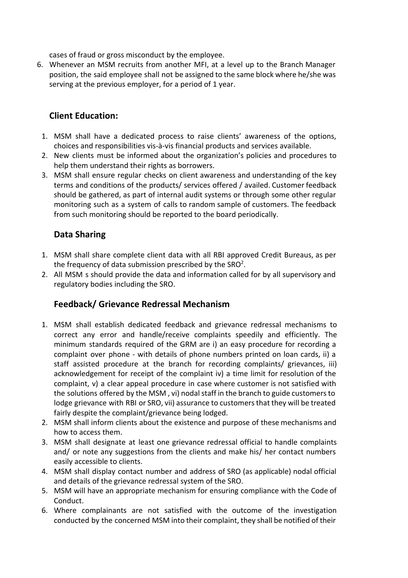cases of fraud or gross misconduct by the employee.

6. Whenever an MSM recruits from another MFI, at a level up to the Branch Manager position, the said employee shall not be assigned to the same block where he/she was serving at the previous employer, for a period of 1 year.

### **Client Education:**

- 1. MSM shall have a dedicated process to raise clients' awareness of the options, choices and responsibilities vis-à-vis financial products and services available.
- 2. New clients must be informed about the organization's policies and procedures to help them understand their rights as borrowers.
- 3. MSM shall ensure regular checks on client awareness and understanding of the key terms and conditions of the products/ services offered / availed. Customer feedback should be gathered, as part of internal audit systems or through some other regular monitoring such as a system of calls to random sample of customers. The feedback from such monitoring should be reported to the board periodically.

### **Data Sharing**

- 1. MSM shall share complete client data with all RBI approved Credit Bureaus, as per the frequency of data submission prescribed by the SRO<sup>2</sup>.
- 2. All MSM s should provide the data and information called for by all supervisory and regulatory bodies including the SRO.

# **Feedback/ Grievance Redressal Mechanism**

- 1. MSM shall establish dedicated feedback and grievance redressal mechanisms to correct any error and handle/receive complaints speedily and efficiently. The minimum standards required of the GRM are i) an easy procedure for recording a complaint over phone with details of phone numbers printed on loan cards, ii) a staff assisted procedure at the branch for recording complaints/ grievances, iii) acknowledgement for receipt of the complaint iv) a time limit for resolution of the complaint, v) a clear appeal procedure in case where customer is not satisfied with the solutions offered by the MSM, vi) nodal staff in the branch to guide customers to lodge grievance with RBI or SRO, vii) assurance to customers that they will be treated fairly despite the complaint/grievance being lodged.
- 2. MSM shall inform clients about the existence and purpose of these mechanisms and how to access them.
- 3. MSM shall designate at least one grievance redressal official to handle complaints and/ or note any suggestions from the clients and make his/ her contact numbers easily accessible to clients.
- 4. MSM shall display contact number and address of SRO (as applicable) nodal official and details of the grievance redressal system of the SRO.
- 5. MSM will have an appropriate mechanism for ensuring compliance with the Code of Conduct.
- 6. Where complainants are not satisfied with the outcome of the investigation conducted by the concerned MSM into their complaint, they shall be notified of their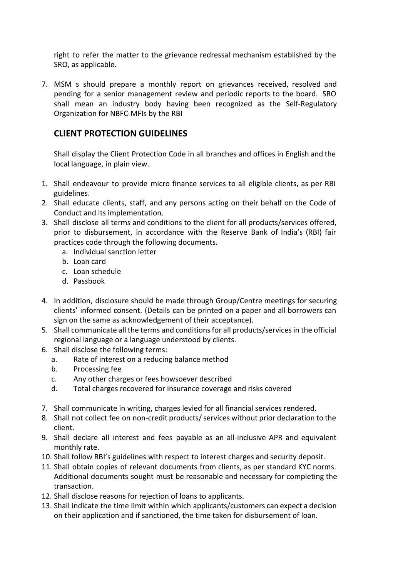right to refer the matter to the grievance redressal mechanism established by the SRO, as applicable.

7. MSM s should prepare a monthly report on grievances received, resolved and pending for a senior management review and periodic reports to the board. SRO shall mean an industry body having been recognized as the Self-Regulatory Organization for NBFC-MFIs by the RBI

#### **CLIENT PROTECTION GUIDELINES**

Shall display the Client Protection Code in all branches and offices in English and the local language, in plain view.

- 1. Shall endeavour to provide micro finance services to all eligible clients, as per RBI guidelines.
- 2. Shall educate clients, staff, and any persons acting on their behalf on the Code of Conduct and its implementation.
- 3. Shall disclose all terms and conditions to the client for all products/services offered, prior to disbursement, in accordance with the Reserve Bank of India's (RBI) fair practices code through the following documents.
	- a. Individual sanction letter
	- b. Loan card
	- c. Loan schedule
	- d. Passbook
- 4. In addition, disclosure should be made through Group/Centre meetings for securing clients' informed consent. (Details can be printed on a paper and all borrowers can sign on the same as acknowledgement of their acceptance).
- 5. Shall communicate all the terms and conditionsfor all products/servicesin the official regional language or a language understood by clients.
- 6. Shall disclose the following terms:
	- a. Rate of interest on a reducing balance method
	- b. Processing fee
	- c. Any other charges or fees howsoever described
	- d. Total charges recovered for insurance coverage and risks covered
- 7. Shall communicate in writing, charges levied for all financial services rendered.
- 8. Shall not collect fee on non-credit products/ services without prior declaration to the client.
- 9. Shall declare all interest and fees payable as an allinclusive APR and equivalent monthly rate.
- 10. Shall follow RBI's guidelines with respect to interest charges and security deposit.
- 11. Shall obtain copies of relevant documents from clients, as per standard KYC norms. Additional documents sought must be reasonable and necessary for completing the transaction.
- 12. Shall disclose reasons for rejection of loans to applicants.
- 13. Shall indicate the time limit within which applicants/customers can expect a decision on their application and if sanctioned, the time taken for disbursement of loan.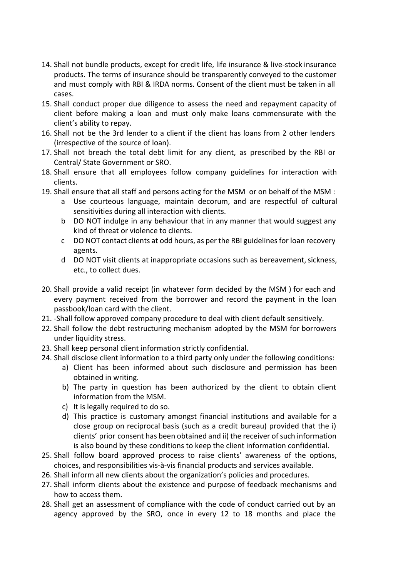- 14. Shall not bundle products, except for credit life, life insurance & live-stock insurance products. The terms of insurance should be transparently conveyed to the customer and must comply with RBI & IRDA norms. Consent of the client must be taken in all cases.
- 15. Shall conduct proper due diligence to assess the need and repayment capacity of client before making a loan and must only make loans commensurate with the client's ability to repay.
- 16. Shall not be the 3rd lender to a client if the client has loans from 2 other lenders (irrespective of the source of loan).
- 17. Shall not breach the total debt limit for any client, as prescribed by the RBI or Central/ State Government or SRO.
- 18. Shall ensure that all employees follow company guidelines for interaction with clients.
- 19. Shall ensure that all staff and persons acting for the MSM or on behalf of the MSM :
	- a Use courteous language, maintain decorum, and are respectful of cultural sensitivities during all interaction with clients.
	- b DO NOT indulge in any behaviour that in any manner that would suggest any kind of threat or violence to clients.
	- c DO NOT contact clients at odd hours, as per the RBI guidelinesfor loan recovery agents.
	- d DO NOT visit clients at inappropriate occasions such as bereavement, sickness, etc., to collect dues.
- 20. Shall provide a valid receipt (in whatever form decided by the MSM ) for each and every payment received from the borrower and record the payment in the loan passbook/loan card with the client.
- 21. Shall follow approved company procedure to deal with client default sensitively.
- 22. Shall follow the debt restructuring mechanism adopted by the MSM for borrowers under liquidity stress.
- 23. Shall keep personal client information strictly confidential.
- 24. Shall disclose client information to a third party only under the following conditions:
	- a) Client has been informed about such disclosure and permission has been obtained in writing.
	- b) The party in question has been authorized by the client to obtain client information from the MSM.
	- c) It is legally required to do so.
	- d) This practice is customary amongst financial institutions and available for a close group on reciprocal basis (such as a credit bureau) provided that the i) clients' prior consent has been obtained and ii) the receiver of such information is also bound by these conditions to keep the client information confidential.
- 25. Shall follow board approved process to raise clients' awareness of the options, choices, and responsibilities vis-à-vis financial products and services available.
- 26. Shall inform all new clients about the organization's policies and procedures.
- 27. Shall inform clients about the existence and purpose of feedback mechanisms and how to access them.
- 28. Shall get an assessment of compliance with the code of conduct carried out by an agency approved by the SRO, once in every 12 to 18 months and place the